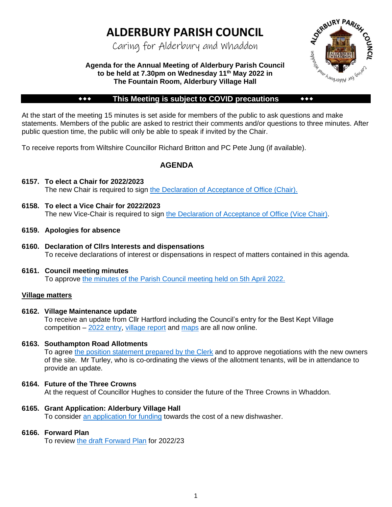# **ALDERBURY PARISH COUNCIL**

Caring for Alderbury and Whaddon



## **Agenda for the Annual Meeting of Alderbury Parish Council to be held at 7.30pm on Wednesday 11th May 2022 in The Fountain Room, Alderbury Village Hall**

## **\*\*\*** This Meeting is subject to COVID precautions \*\*\*

At the start of the meeting 15 minutes is set aside for members of the public to ask questions and make statements. Members of the public are asked to restrict their comments and/or questions to three minutes. After public question time, the public will only be able to speak if invited by the Chair.

To receive reports from Wiltshire Councillor Richard Britton and PC Pete Jung (if available).

## **AGENDA**

- **6157. To elect a Chair for 2022/2023** The new Chair is required to sign [the Declaration of Acceptance of Office \(Chair\).](http://www.alderburyparishcouncil.gov.uk/_UserFiles/Files/Council%20documents/DoAO%20-%20Chair.pdf)
- **6158. To elect a Vice Chair for 2022/2023** The new Vice-Chair is required to sign [the Declaration of Acceptance of Office \(Vice Chair\).](http://www.alderburyparishcouncil.gov.uk/_UserFiles/Files/Council%20documents/DoAO%20-%20Vice%20Chair.pdf)
- **6159. Apologies for absence**
- **6160. Declaration of Cllrs Interests and dispensations** To receive declarations of interest or dispensations in respect of matters contained in this agenda.

#### **6161. Council meeting minutes**  To approve [the minutes of the Parish Council meeting held on 5th April 2022.](http://www.alderburyparishcouncil.gov.uk/Meetings_Agendas__and__Minutes_34465.aspx)

## **Village matters**

## **6162. Village Maintenance update**

To receive an update from Cllr Hartford including the Council's entry for the Best Kept Village competition – [2022 entry,](http://www.alderburyparishcouncil.gov.uk/_UserFiles/Files/Council%20documents/2022/2022%20Entry%20Form.pdf) [village report](http://www.alderburyparishcouncil.gov.uk/_UserFiles/Files/Council%20documents/2022/Report.pdf) and [maps](http://www.alderburyparishcouncil.gov.uk/_UserFiles/Files/Council%20documents/2022/2022%20BKV%20MAP.pdf) are all now online.

## **6163. Southampton Road Allotments**

To agree [the position statement prepared by the Clerk](http://www.alderburyparishcouncil.gov.uk/_UserFiles/Files/Council%20documents/2022/Southampton%20Road%20Allotments.pdf) and to approve negotiations with the new owners of the site. Mr Turley, who is co-ordinating the views of the allotment tenants, will be in attendance to provide an update.

## **6164. Future of the Three Crowns**

At the request of Councillor Hughes to consider the future of the Three Crowns in Whaddon.

## **6165. Grant Application: Alderbury Village Hall**

To consider [an application for funding](http://www.alderburyparishcouncil.gov.uk/_UserFiles/Files/Council%20documents/2022/Application%20for%20Grant%20REDACTED.pdf) towards the cost of a new dishwasher.

#### **6166. Forward Plan**

To review [the draft Forward Plan](http://www.alderburyparishcouncil.gov.uk/_UserFiles/Files/Council%20documents/2022/Forward%20Plan%20-%20May%202022.pdf) for 2022/23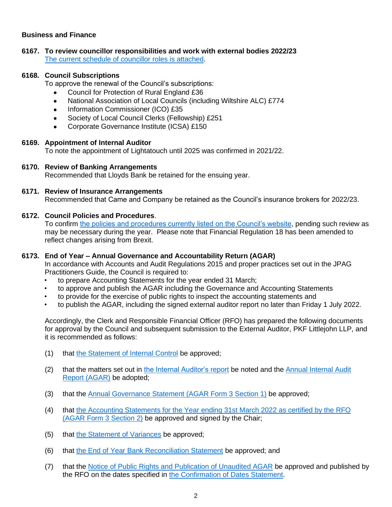## **Business and Finance**

## **6167. To review councillor responsibilities and work with external bodies 2022/23** [The current schedule of councillor roles is attached.](http://www.alderburyparishcouncil.gov.uk/_UserFiles/Files/Council%20documents/Councillor%20Roles.pdf)

## **6168. Council Subscriptions**

To approve the renewal of the Council's subscriptions:

- Council for Protection of Rural England £36
- National Association of Local Councils (including Wiltshire ALC) £774
- Information Commissioner (ICO) £35
- Society of Local Council Clerks (Fellowship) £251
- Corporate Governance Institute (ICSA) £150

#### **6169. Appointment of Internal Auditor**

To note the appointment of Lightatouch until 2025 was confirmed in 2021/22.

#### **6170. Review of Banking Arrangements**

Recommended that Lloyds Bank be retained for the ensuing year.

#### **6171. Review of Insurance Arrangements**

Recommended that Came and Company be retained as the Council's insurance brokers for 2022/23.

#### **6172. Council Policies and Procedures**.

To confirm [the policies and procedures currently listed on the Council's website,](http://www.alderburyparishcouncil.gov.uk/Policy__and__Documents_34466.aspx) pending such review as may be necessary during the year. Please note that Financial Regulation 18 has been amended to reflect changes arising from Brexit.

#### **6173. End of Year – Annual Governance and Accountability Return (AGAR)**

In accordance with Accounts and Audit Regulations 2015 and proper practices set out in the JPAG Practitioners Guide, the Council is required to:

- to prepare Accounting Statements for the year ended 31 March;
- to approve and publish the AGAR including the Governance and Accounting Statements
- to provide for the exercise of public rights to inspect the accounting statements and
- to publish the AGAR, including the signed external auditor report no later than Friday 1 July 2022.

Accordingly, the Clerk and Responsible Financial Officer (RFO) has prepared the following documents for approval by the Council and subsequent submission to the External Auditor, PKF Littlejohn LLP, and it is recommended as follows:

- (1) that [the Statement of Internal Control](http://www.alderburyparishcouncil.gov.uk/_UserFiles/Files/Policy%20and%20Documents/New%20Policies/06%20Internal%20Control%20V2.pdf) be approved;
- (2) that the matters set out in [the Internal Auditor's report](http://www.alderburyparishcouncil.gov.uk/_UserFiles/Files/Council%20documents/2022/AGAR%20-%20Internal%20Audit%20Report%202021-2022.pdf) be noted and the Annual Internal Audit [Report \(AGAR\)](http://www.alderburyparishcouncil.gov.uk/_UserFiles/Files/Council%20documents/2022/AGAR%20-%20Internal%20Audit%20Statement.pdf) be adopted;
- (3) that the [Annual Governance Statement \(AGAR Form](http://www.alderburyparishcouncil.gov.uk/_UserFiles/Files/Council%20documents/2022/AGAR%20-%20Section%201%202021-22.pdf) 3 Section 1) be approved;
- (4) that [the Accounting Statements for the Year ending 31st March 2022](http://www.alderburyparishcouncil.gov.uk/_UserFiles/Files/Council%20documents/2022/AGAR%20-%20Section%202%202021-22.pdf) as certified by the RFO [\(AGAR Form](http://www.alderburyparishcouncil.gov.uk/_UserFiles/Files/Council%20documents/2022/AGAR%20-%20Section%202%202021-22.pdf) 3 Section 2) be approved and signed by the Chair;
- (5) that [the Statement of Variances](http://www.alderburyparishcouncil.gov.uk/_UserFiles/Files/Council%20documents/2022/AGAR%20-%20Explanation%20of%20Variances.pdf) be approved;
- (6) that [the End of Year Bank Reconciliation Statement](http://www.alderburyparishcouncil.gov.uk/_UserFiles/Files/Council%20documents/2022/AGAR%20Bank%20Reconciliation%2031-3-22.pdf) be approved; and
- (7) that the [Notice of Public Rights and Publication of Unaudited AGAR](http://www.alderburyparishcouncil.gov.uk/_UserFiles/Files/Council%20documents/2022/AGAR%20-%20EoPR%20Unaudited%20Accounts.pdf) be approved and published by the RFO on the dates specified in [the Confirmation of Dates Statement.](http://www.alderburyparishcouncil.gov.uk/_UserFiles/Files/Council%20documents/2022/AGAR%20-%20Confirmation%20of%20Dates%20of%20Public%20Rights.pdf)